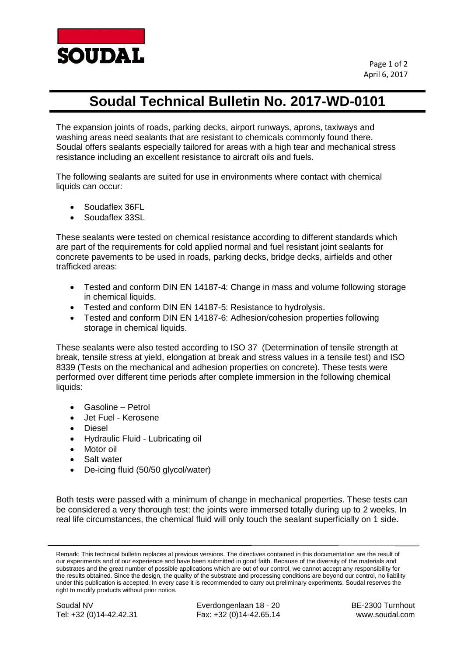

## **Soudal Technical Bulletin No. 2017-WD-0101**

The expansion joints of roads, parking decks, airport runways, aprons, taxiways and washing areas need sealants that are resistant to chemicals commonly found there. Soudal offers sealants especially tailored for areas with a high tear and mechanical stress resistance including an excellent resistance to aircraft oils and fuels.

The following sealants are suited for use in environments where contact with chemical liquids can occur:

- Soudaflex 36FL
- Soudaflex 33SL

These sealants were tested on chemical resistance according to different standards which are part of the requirements for cold applied normal and fuel resistant joint sealants for concrete pavements to be used in roads, parking decks, bridge decks, airfields and other trafficked areas:

- Tested and conform DIN EN 14187-4: Change in mass and volume following storage in chemical liquids.
- Tested and conform DIN EN 14187-5: Resistance to hydrolysis.
- Tested and conform DIN EN 14187-6: Adhesion/cohesion properties following storage in chemical liquids.

These sealants were also tested according to ISO 37 (Determination of tensile strength at break, tensile stress at yield, elongation at break and stress values in a tensile test) and ISO 8339 (Tests on the mechanical and adhesion properties on concrete). These tests were performed over different time periods after complete immersion in the following chemical liquids:

- Gasoline Petrol
- Jet Fuel Kerosene
- Diesel
- Hydraulic Fluid Lubricating oil
- Motor oil
- Salt water
- De-icing fluid (50/50 glycol/water)

Both tests were passed with a minimum of change in mechanical properties. These tests can be considered a very thorough test: the joints were immersed totally during up to 2 weeks. In real life circumstances, the chemical fluid will only touch the sealant superficially on 1 side.

Soudal NV Everdongenlaan 18 - 20 BE-2300 Turnhout<br>Tel: +32 (0)14-42.42.31 Fax: +32 (0)14-42.65.14 www.soudal.com Tel: +32 (0)14-42.42.31 Fax: +32 (0)14-42.65.14

Remark: This technical bulletin replaces al previous versions. The directives contained in this documentation are the result of our experiments and of our experience and have been submitted in good faith. Because of the diversity of the materials and substrates and the great number of possible applications which are out of our control, we cannot accept any responsibility for the results obtained. Since the design, the quality of the substrate and processing conditions are beyond our control, no liability under this publication is accepted. In every case it is recommended to carry out preliminary experiments. Soudal reserves the right to modify products without prior notice.